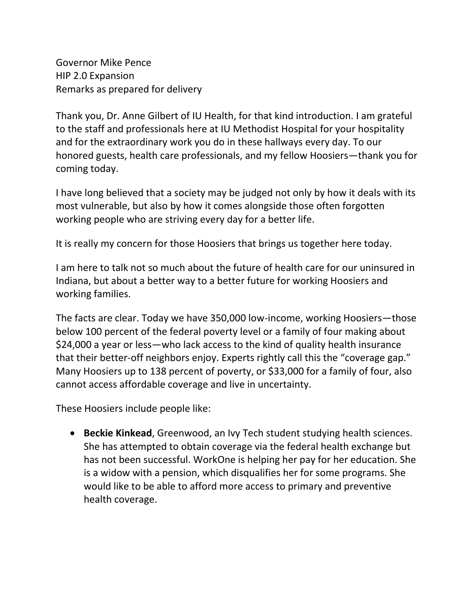Governor Mike Pence HIP 2.0 Expansion Remarks as prepared for delivery

Thank you, Dr. Anne Gilbert of IU Health, for that kind introduction. I am grateful to the staff and professionals here at IU Methodist Hospital for your hospitality and for the extraordinary work you do in these hallways every day. To our honored guests, health care professionals, and my fellow Hoosiers—thank you for coming today.

I have long believed that a society may be judged not only by how it deals with its most vulnerable, but also by how it comes alongside those often forgotten working people who are striving every day for a better life.

It is really my concern for those Hoosiers that brings us together here today.

I am here to talk not so much about the future of health care for our uninsured in Indiana, but about a better way to a better future for working Hoosiers and working families.

The facts are clear. Today we have 350,000 low-income, working Hoosiers—those below 100 percent of the federal poverty level or a family of four making about \$24,000 a year or less—who lack access to the kind of quality health insurance that their better-off neighbors enjoy. Experts rightly call this the "coverage gap." Many Hoosiers up to 138 percent of poverty, or \$33,000 for a family of four, also cannot access affordable coverage and live in uncertainty.

These Hoosiers include people like:

 **Beckie Kinkead**, Greenwood, an Ivy Tech student studying health sciences. She has attempted to obtain coverage via the federal health exchange but has not been successful. WorkOne is helping her pay for her education. She is a widow with a pension, which disqualifies her for some programs. She would like to be able to afford more access to primary and preventive health coverage.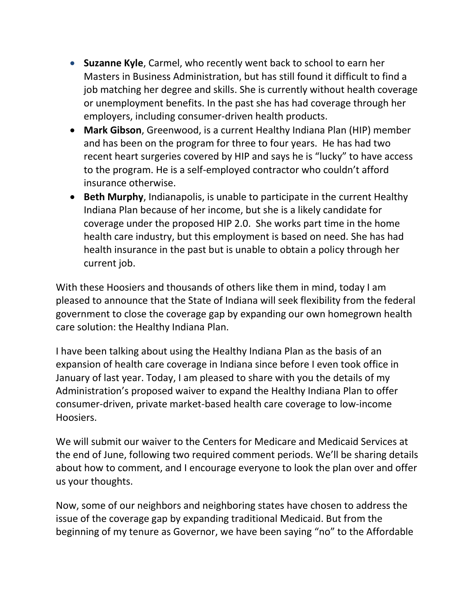- **Suzanne Kyle**, Carmel, who recently went back to school to earn her Masters in Business Administration, but has still found it difficult to find a job matching her degree and skills. She is currently without health coverage or unemployment benefits. In the past she has had coverage through her employers, including consumer-driven health products.
- **Mark Gibson**, Greenwood, is a current Healthy Indiana Plan (HIP) member and has been on the program for three to four years. He has had two recent heart surgeries covered by HIP and says he is "lucky" to have access to the program. He is a self-employed contractor who couldn't afford insurance otherwise.
- **Beth Murphy**, Indianapolis, is unable to participate in the current Healthy Indiana Plan because of her income, but she is a likely candidate for coverage under the proposed HIP 2.0. She works part time in the home health care industry, but this employment is based on need. She has had health insurance in the past but is unable to obtain a policy through her current job.

With these Hoosiers and thousands of others like them in mind, today I am pleased to announce that the State of Indiana will seek flexibility from the federal government to close the coverage gap by expanding our own homegrown health care solution: the Healthy Indiana Plan.

I have been talking about using the Healthy Indiana Plan as the basis of an expansion of health care coverage in Indiana since before I even took office in January of last year. Today, I am pleased to share with you the details of my Administration's proposed waiver to expand the Healthy Indiana Plan to offer consumer-driven, private market-based health care coverage to low-income Hoosiers.

We will submit our waiver to the Centers for Medicare and Medicaid Services at the end of June, following two required comment periods. We'll be sharing details about how to comment, and I encourage everyone to look the plan over and offer us your thoughts.

Now, some of our neighbors and neighboring states have chosen to address the issue of the coverage gap by expanding traditional Medicaid. But from the beginning of my tenure as Governor, we have been saying "no" to the Affordable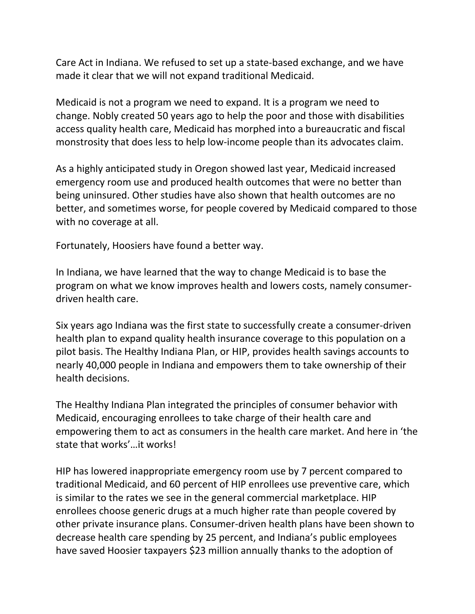Care Act in Indiana. We refused to set up a state-based exchange, and we have made it clear that we will not expand traditional Medicaid.

Medicaid is not a program we need to expand. It is a program we need to change. Nobly created 50 years ago to help the poor and those with disabilities access quality health care, Medicaid has morphed into a bureaucratic and fiscal monstrosity that does less to help low-income people than its advocates claim.

As a highly anticipated study in Oregon showed last year, Medicaid increased emergency room use and produced health outcomes that were no better than being uninsured. Other studies have also shown that health outcomes are no better, and sometimes worse, for people covered by Medicaid compared to those with no coverage at all.

Fortunately, Hoosiers have found a better way.

In Indiana, we have learned that the way to change Medicaid is to base the program on what we know improves health and lowers costs, namely consumerdriven health care.

Six years ago Indiana was the first state to successfully create a consumer-driven health plan to expand quality health insurance coverage to this population on a pilot basis. The Healthy Indiana Plan, or HIP, provides health savings accounts to nearly 40,000 people in Indiana and empowers them to take ownership of their health decisions.

The Healthy Indiana Plan integrated the principles of consumer behavior with Medicaid, encouraging enrollees to take charge of their health care and empowering them to act as consumers in the health care market. And here in 'the state that works'…it works!

HIP has lowered inappropriate emergency room use by 7 percent compared to traditional Medicaid, and 60 percent of HIP enrollees use preventive care, which is similar to the rates we see in the general commercial marketplace. HIP enrollees choose generic drugs at a much higher rate than people covered by other private insurance plans. Consumer-driven health plans have been shown to decrease health care spending by 25 percent, and Indiana's public employees have saved Hoosier taxpayers \$23 million annually thanks to the adoption of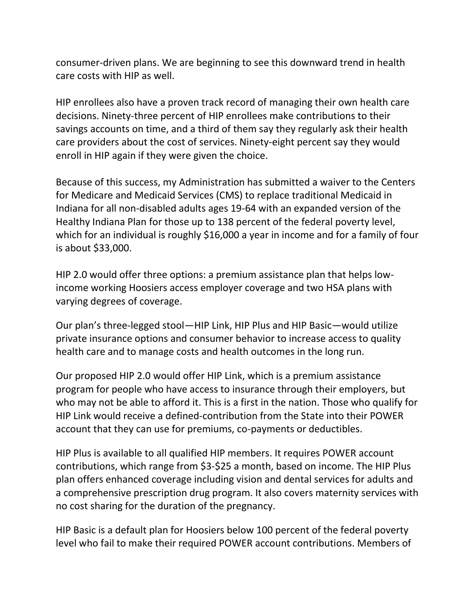consumer-driven plans. We are beginning to see this downward trend in health care costs with HIP as well.

HIP enrollees also have a proven track record of managing their own health care decisions. Ninety-three percent of HIP enrollees make contributions to their savings accounts on time, and a third of them say they regularly ask their health care providers about the cost of services. Ninety-eight percent say they would enroll in HIP again if they were given the choice.

Because of this success, my Administration has submitted a waiver to the Centers for Medicare and Medicaid Services (CMS) to replace traditional Medicaid in Indiana for all non-disabled adults ages 19-64 with an expanded version of the Healthy Indiana Plan for those up to 138 percent of the federal poverty level, which for an individual is roughly \$16,000 a year in income and for a family of four is about \$33,000.

HIP 2.0 would offer three options: a premium assistance plan that helps lowincome working Hoosiers access employer coverage and two HSA plans with varying degrees of coverage.

Our plan's three-legged stool—HIP Link, HIP Plus and HIP Basic—would utilize private insurance options and consumer behavior to increase access to quality health care and to manage costs and health outcomes in the long run.

Our proposed HIP 2.0 would offer HIP Link, which is a premium assistance program for people who have access to insurance through their employers, but who may not be able to afford it. This is a first in the nation. Those who qualify for HIP Link would receive a defined-contribution from the State into their POWER account that they can use for premiums, co-payments or deductibles.

HIP Plus is available to all qualified HIP members. It requires POWER account contributions, which range from \$3-\$25 a month, based on income. The HIP Plus plan offers enhanced coverage including vision and dental services for adults and a comprehensive prescription drug program. It also covers maternity services with no cost sharing for the duration of the pregnancy.

HIP Basic is a default plan for Hoosiers below 100 percent of the federal poverty level who fail to make their required POWER account contributions. Members of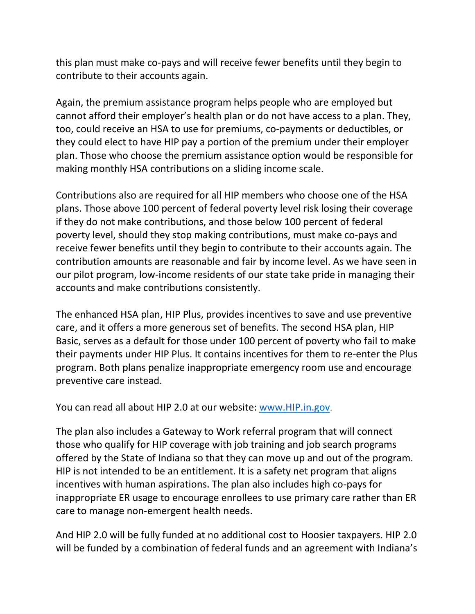this plan must make co-pays and will receive fewer benefits until they begin to contribute to their accounts again.

Again, the premium assistance program helps people who are employed but cannot afford their employer's health plan or do not have access to a plan. They, too, could receive an HSA to use for premiums, co-payments or deductibles, or they could elect to have HIP pay a portion of the premium under their employer plan. Those who choose the premium assistance option would be responsible for making monthly HSA contributions on a sliding income scale.

Contributions also are required for all HIP members who choose one of the HSA plans. Those above 100 percent of federal poverty level risk losing their coverage if they do not make contributions, and those below 100 percent of federal poverty level, should they stop making contributions, must make co-pays and receive fewer benefits until they begin to contribute to their accounts again. The contribution amounts are reasonable and fair by income level. As we have seen in our pilot program, low-income residents of our state take pride in managing their accounts and make contributions consistently.

The enhanced HSA plan, HIP Plus, provides incentives to save and use preventive care, and it offers a more generous set of benefits. The second HSA plan, HIP Basic, serves as a default for those under 100 percent of poverty who fail to make their payments under HIP Plus. It contains incentives for them to re-enter the Plus program. Both plans penalize inappropriate emergency room use and encourage preventive care instead.

You can read all about HIP 2.0 at our website: [www.HIP.in.gov](http://www.hip.in.gov/).

The plan also includes a Gateway to Work referral program that will connect those who qualify for HIP coverage with job training and job search programs offered by the State of Indiana so that they can move up and out of the program. HIP is not intended to be an entitlement. It is a safety net program that aligns incentives with human aspirations. The plan also includes high co-pays for inappropriate ER usage to encourage enrollees to use primary care rather than ER care to manage non-emergent health needs.

And HIP 2.0 will be fully funded at no additional cost to Hoosier taxpayers. HIP 2.0 will be funded by a combination of federal funds and an agreement with Indiana's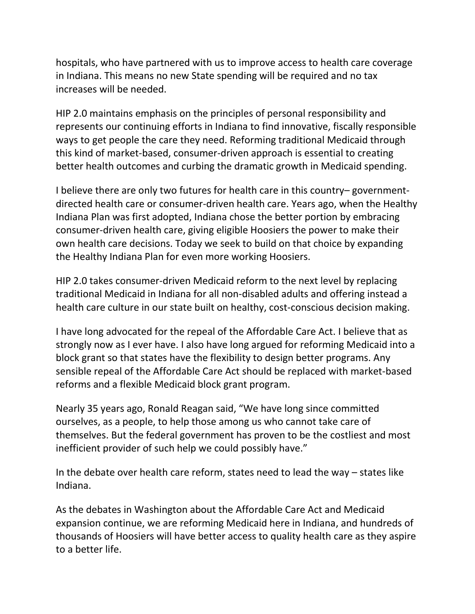hospitals, who have partnered with us to improve access to health care coverage in Indiana. This means no new State spending will be required and no tax increases will be needed.

HIP 2.0 maintains emphasis on the principles of personal responsibility and represents our continuing efforts in Indiana to find innovative, fiscally responsible ways to get people the care they need. Reforming traditional Medicaid through this kind of market-based, consumer-driven approach is essential to creating better health outcomes and curbing the dramatic growth in Medicaid spending.

I believe there are only two futures for health care in this country– governmentdirected health care or consumer-driven health care. Years ago, when the Healthy Indiana Plan was first adopted, Indiana chose the better portion by embracing consumer-driven health care, giving eligible Hoosiers the power to make their own health care decisions. Today we seek to build on that choice by expanding the Healthy Indiana Plan for even more working Hoosiers.

HIP 2.0 takes consumer-driven Medicaid reform to the next level by replacing traditional Medicaid in Indiana for all non-disabled adults and offering instead a health care culture in our state built on healthy, cost-conscious decision making.

I have long advocated for the repeal of the Affordable Care Act. I believe that as strongly now as I ever have. I also have long argued for reforming Medicaid into a block grant so that states have the flexibility to design better programs. Any sensible repeal of the Affordable Care Act should be replaced with market-based reforms and a flexible Medicaid block grant program.

Nearly 35 years ago, Ronald Reagan said, "We have long since committed ourselves, as a people, to help those among us who cannot take care of themselves. But the federal government has proven to be the costliest and most inefficient provider of such help we could possibly have."

In the debate over health care reform, states need to lead the way – states like Indiana.

As the debates in Washington about the Affordable Care Act and Medicaid expansion continue, we are reforming Medicaid here in Indiana, and hundreds of thousands of Hoosiers will have better access to quality health care as they aspire to a better life.